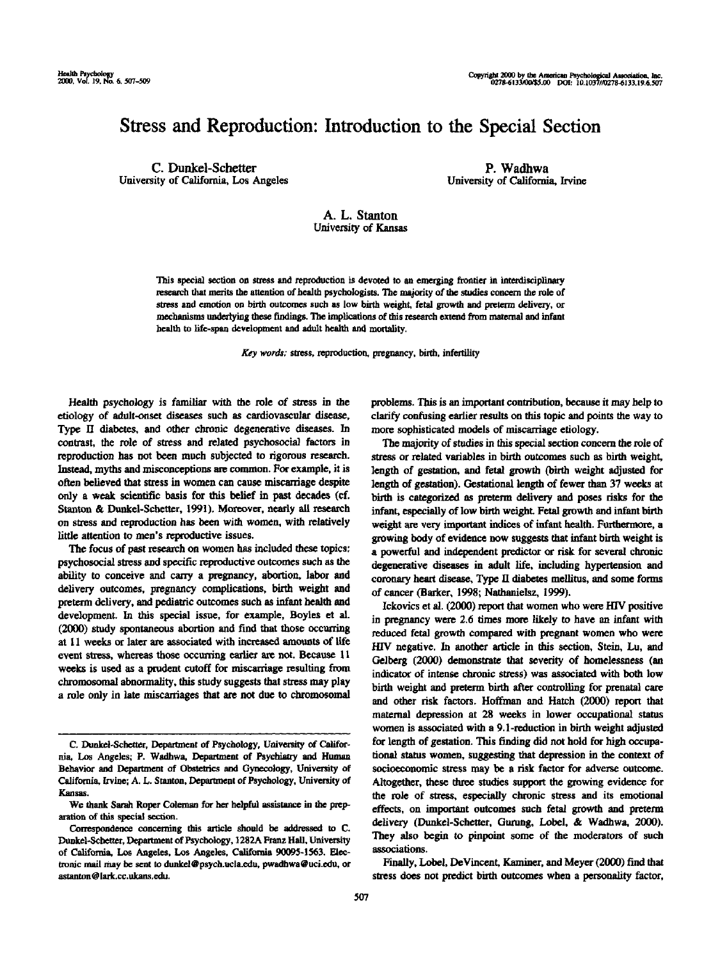## Stress and Reproduction: Introduction to the Special Section

C. Dunkel-Schetter University of California, Los Angeles

P. Wadhwa University of California, Irvine

## A. L. Stanton University of Kansas

This special section on stress and reproduction is devoted to an emerging frontier in interdisciplinary research that merits the attention of health psychologists. The majority of the studies concern the role of stress and emotion on birth outcomes such as low birth weight, fetal growth and preterm delivery, or mechanisms underlying these findings. The implications of this research extend from maternal and infant health to life-span development and adult health and mortality.

*Key words;* stress, reproduction, pregnancy, birth, infertility

Health psychology is familiar with the role of stress in the etiology of adult-onset diseases such as cardiovascular disease. Type II diabetes, and other chronic degenerative diseases. In contrast, the role of stress and related psychosocial factors in reproduction has not been much subjected to rigorous research. Instead, myths and misconceptions are common. For example, it is often believed that stress in women can cause miscarriage despite only a weak scientific basis for this belief in past decades (cf. Stanton & Dunkel-Schetter, 1991). Moreover, nearly all research on stress and reproduction has been with women, with relatively little attention to men's reproductive issues.

The focus of past research on women has included these topics: psychosocial stress and specific reproductive outcomes such as the ability to conceive and carry a pregnancy, abortion, labor and delivery outcomes, pregnancy complications, birth weight and preterm delivery, and pediatric outcomes such as infant health and development. In this special issue, for example, Boyles et al. (2000) study spontaneous abortion and find that those occurring at 11 weeks or later are associated with increased amounts of life event stress, whereas those occurring earlier are not. Because 11 weeks is used as a prudent cutoff for miscarriage resulting from chromosomal abnormality, this study suggests that stress may play a role only in late miscarriages that are not due to chromosomal

problems. This is an important contribution, because it may help to clarify confusing earlier results on this topic and points the way to more sophisticated models of miscarriage etiology.

The majority of studies in this special section concern the role of stress or related variables in birth outcomes such as birth weight, length of gestation, and fetal growth (birth weight adjusted for length of gestation). Gestational length of fewer than 37 weeks at birth is categorized as preterm delivery and poses risks for the infant, especially of low birth weight. Fetal growth and infant birth weight are very important indices of infant health. Furthermore, a growing body of evidence now suggests that infant birth weight is a powerful and independent predictor or risk for several chronic degenerative diseases in adult life, including hypertension and coronary heart disease, Type II diabetes mellitus, and some forms of cancer (Barker, 1998; Nathanielsz, 1999).

Ickovics et al. (2000) report that women who were HIV positive in pregnancy were *2.6* times more likely to have an infant with reduced fetal growth compared with pregnant women who were HIV negative. In another article in this section, Stein, Lu, and Gelberg (2000) demonstrate that severity of homelessness (an indicator of intense chronic stress) was associated with both low birth weight and preterm birth after controlling for prenatal care and other risk factors. Hoffman and Hatch (2000) report that maternal depression at 28 weeks in lower occupational status women is associated with a 9.1-reduction in birth weight adjusted for length of gestation. This finding did not hold for high occupational status women, suggesting that depression in the context of socioeconomic stress may be a risk factor for adverse outcome. Altogether, these three studies support the growing evidence for the role of stress, especially chronic stress and its emotional effects, on important outcomes such fetal growth and preterm delivery (Dunkel-Schetter, Gurung, Lobel, & Wadhwa, 2000). They also begin to pinpoint some of the moderators of such associations.

Finally, Lobel, DeVincent, Kaminer, and Meyer (2000) find that stress does not predict birth outcomes when a personality factor,

C. Dunkel-Schetter, Department of Psychology, University of California, Los Angeles; P. Wadhwa, Department of Psychiatry and Human Behavior and Department of Obstetrics and Gynecology, University of California, Irvine; A. L. Stanton, Department of Psychology, University of Kansas.

We thank Sarah Roper Coleman for her helpful assistance in the preparation of this special section.

Correspondence concerning this article should *be* addressed to C. Dunkel-Schetter, Department of Psychology, 1282A Franz Hall. University of California, Los Angeles, Los Angeles, California 90095-1563. Electronic mail may be sent to dunkel@psych.ucla.edu, pwadbwa@uci.edu, or astanton@lark.cc.ukans.edu.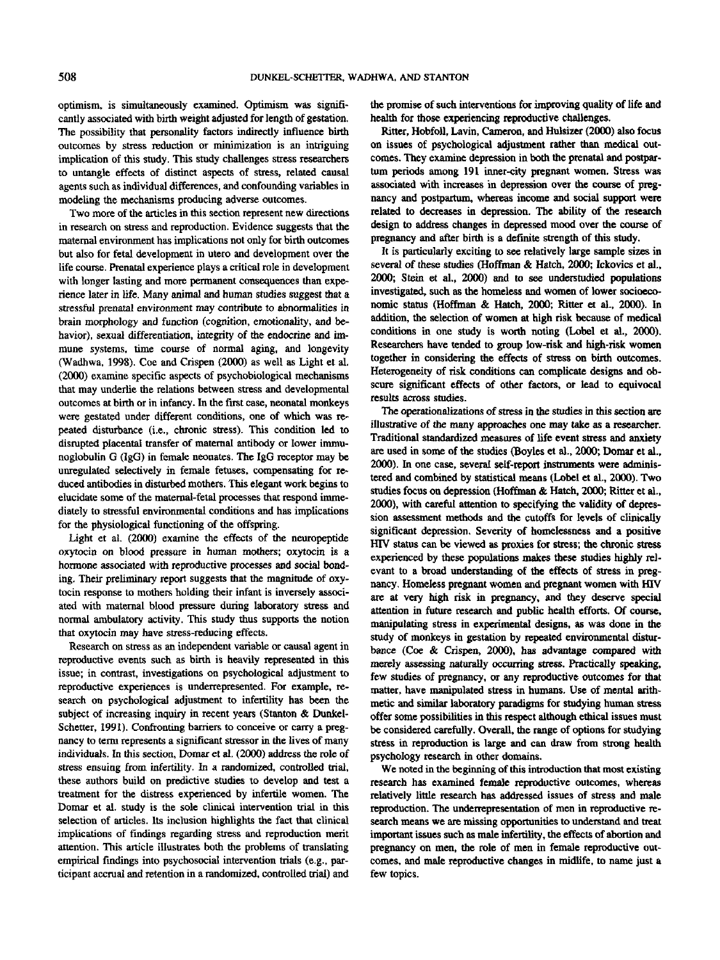optimism, is simultaneously examined. Optimism was significantly associated with birth weight adjusted for length of gestation. The possibility that personality factors indirectly influence birth outcomes by stress reduction or minimization is an intriguing implication of this study. This study challenges stress researchers to untangle effects of distinct aspects of stress, related causal agents such as individual differences, and confounding variables in modeling the mechanisms producing adverse outcomes.

Two more of the articles in this section represent new directions in research on stress and reproduction. Evidence suggests that the maternal environment has implications not only for birth outcomes but also for fetal development in utero and development over the life course. Prenatal experience plays a critical role in development with longer lasting and more permanent consequences than experience later *in* life. Many animal and human studies suggest that a stressful prenatal environment may contribute to abnormalities in brain morphology and function (cognition, emotionality, and behavior), sexual differentiation, integrity of the endocrine and immune systems, time course of normal aging, and longevity (Wadhwa, 1998). Coe and Crispen (2000) as well as Light et al. (2000) examine specific aspects of psychobiological mechanisms that may underlie the relations between stress and developmental outcomes at birth or in infancy. In the first case, neonatal monkeys were gestated under different conditions, one of which was repeated disturbance (i.e., chronic stress). This condition led to disrupted placental transfer of maternal antibody or lower immunoglobulin G (IgG) in female neonates. The IgG receptor may be unregulated selectively in female fetuses, compensating for reduced antibodies in disturbed mothers. This elegant work begins to elucidate some of the maternal-fetal processes that respond immediately to stressful environmental conditions and has implications for the physiological functioning of the offspring.

Light et al. (2000) examine the effects of the neuropeptide oxytocin on blood pressure in human mothers; oxytocin is a hormone associated with reproductive processes and social bonding. Their preliminary report suggests that the magnitude of oxytocin response to mothers holding their infant is inversely associated with maternal blood pressure during laboratory stress and normal ambulatory activity. This study thus supports the notion that oxytocin may have stress-reducing effects.

Research on stress as an independent variable or causal agent in reproductive events such as birth is heavily represented in this issue; in contrast, investigations on psychological adjustment to reproductive experiences is underrepresented. For example, research on psychological adjustment to infertility has been the subject of increasing inquiry in recent years (Stanton & Dunkel-Schetter, 1991). Confronting barriers to conceive or carry a pregnancy to term represents a significant stressor in the lives of many individuals. In this section, Domar et al. (2000) address the role of stress ensuing from infertility. In a randomized, controlled trial, these authors build on predictive studies to develop and test a treatment for the distress experienced by infertile women. The Domar et al. study is the sole clinical intervention trial in this selection of articles. Its inclusion highlights the fact that clinical implications of findings regarding stress and reproduction merit attention. This article illustrates both the problems of translating empirical findings into psychosocial intervention trials (e.g., participant accrual and retention in a randomized, controlled trial) and the promise of such interventions for improving quality of life and health for those experiencing reproductive challenges.

Ritter, Hobfoll, Lavin, Cameron, and Hulsizer (2000) also focus on issues of psychological adjustment rather than medical outcomes. They examine depression in both the prenatal and postpartum periods among 191 inner-city pregnant women. Stress was associated with increases in depression over the course of pregnancy and postpartum, whereas income and social support were related to decreases in depression. The ability of the research design to address changes in depressed mood over the course of pregnancy and after birth is a definite strength of this study.

It is particularly exciting to see relatively large sample sizes in several of these studies (Hoffman *&* Hatch, 2000; Ickovics et al., 2000; Stein et al., 2000) and to see understudied populations investigated, such as the homeless and women of lower socioeconomic status (Hoffman & Hatch, 2000; Ritter et al., 2000). In addition, the selection of women at high risk because of medical conditions in one study is worth noting (Lobel et al., 2000). Researchers have tended to group low-risk and high-risk women together in considering the effects of stress on birth outcomes. Heterogeneity of risk conditions can complicate designs and obscure significant effects of other factors, or lead to equivocal results across studies.

The operationalizations of stress in the studies in this section are illustrative of the many approaches one may take as a researcher. Traditional standardized measures of life event stress and anxiety are used in some of the studies (Boyles et al., 2000; Domar et al., 2000). In one case, several self-report instruments were administered and combined by statistical means (Lobel et al., 2000). Two studies focus on depression (Hoffman & Hatch, 2000; Ritter et a]., 2000), with careful attention to specifying the validity of depression assessment methods and the cutoffs for levels of clinically significant depression. Severity of homelessness and a positive HIV status can be viewed as proxies for stress; the chronic stress experienced by these populations makes these studies highly relevant to a broad understanding of the effects of stress in pregnancy. Homeless pregnant women and pregnant women with HIV are at very high risk in pregnancy, and they deserve special attention in future research and public health efforts. Of course, manipulating stress in experimental designs, as was done in the study of monkeys in gestation by repeated environmental disturbance (Coe & Crispen, 2000), has advantage compared with merely assessing naturally occurring stress. Practically speaking, few studies of pregnancy, or any reproductive outcomes for that matter, have manipulated stress in humans. Use of mental arithmetic and similar laboratory paradigms for studying human stress offer some possibilities in this respect although ethical issues must be considered carefully. Overall, the range of options for studying stress in reproduction is large and can draw from strong health psychology research in other domains.

We noted in the beginning of this introduction that most existing research has examined female reproductive outcomes, whereas relatively little research has addressed issues of stress and male reproduction. The underrepresentation of men in reproductive research means we are missing opportunities to understand and treat important issues such as male infertility, the effects of abortion and pregnancy on men, the role of men in female reproductive outcomes, and male reproductive changes in midlife, to name just a few topics.